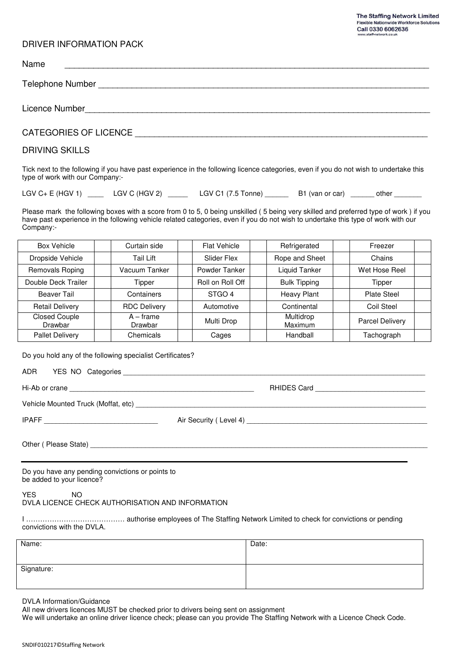#### DRIVER INFORMATION PACK

| Name                                                                                                                                                                                                                                                                                                                                                                                                                                                                                                                   |
|------------------------------------------------------------------------------------------------------------------------------------------------------------------------------------------------------------------------------------------------------------------------------------------------------------------------------------------------------------------------------------------------------------------------------------------------------------------------------------------------------------------------|
| Telephone Number <b>Example 2018</b>                                                                                                                                                                                                                                                                                                                                                                                                                                                                                   |
|                                                                                                                                                                                                                                                                                                                                                                                                                                                                                                                        |
| CATEGORIES OF LICENCE <b>EXAMPLE</b>                                                                                                                                                                                                                                                                                                                                                                                                                                                                                   |
| <b>DRIVING SKILLS</b>                                                                                                                                                                                                                                                                                                                                                                                                                                                                                                  |
| Tick next to the following if you have past experience in the following licence categories, even if you do not wish to undertake this<br>type of work with our Company:-                                                                                                                                                                                                                                                                                                                                               |
| LGV C+ E (HGV 1) ______ LGV C (HGV 2) _______ LGV C1 (7.5 Tonne) _______ B1 (van or car) ______ other _______                                                                                                                                                                                                                                                                                                                                                                                                          |
| Please mark the following boxes with a score from 0 to 5, 0 being unskilled (5 being very skilled and preferred type of work) if you<br>have past experience in the following vehicle related categories, even if you do not wish to undertake this type of work with our<br>Company:-                                                                                                                                                                                                                                 |
| <u>Article</u> (1999) (1999) (1999) (1999) (1999) (1999) (1999) (1999) (1999) (1999) (1999) (1999) (1999) (1999) (1999)<br><u>and the second of the second second in the second second in the second second in the second second in the second in the second in the second in the second in the second in the second in the second in the second in the sec</u><br><u>en avence</u> de la contrata de la contrata de la contrata de la contrata de la contrata de la contrata de la contra<br>$\overline{\phantom{0}}$ |

| <b>Box Vehicle</b>              | Curtain side           | <b>Flat Vehicle</b> | Refrigerated         | Freezer            |  |
|---------------------------------|------------------------|---------------------|----------------------|--------------------|--|
| Dropside Vehicle                | Tail Lift              | Slider Flex         | Rope and Sheet       | Chains             |  |
| Removals Roping                 | Vacuum Tanker          | Powder Tanker       | Liquid Tanker        | Wet Hose Reel      |  |
| Double Deck Trailer             | Tipper                 | Roll on Roll Off    | <b>Bulk Tipping</b>  | Tipper             |  |
| Beaver Tail                     | Containers             | STGO 4              | <b>Heavy Plant</b>   | <b>Plate Steel</b> |  |
| <b>Retail Delivery</b>          | <b>RDC Delivery</b>    | Automotive          | Continental          | Coil Steel         |  |
| <b>Closed Couple</b><br>Drawbar | $A - frame$<br>Drawbar | Multi Drop          | Multidrop<br>Maximum | Parcel Delivery    |  |
| <b>Pallet Delivery</b>          | Chemicals              | Cages               | Handball             | Tachograph         |  |

Do you hold any of the following specialist Certificates?

| <b>ADR</b> | YES NO Categories |  |
|------------|-------------------|--|
|            | .                 |  |
|            |                   |  |

| Hi-Ab or    |                                |
|-------------|--------------------------------|
|             | RF                             |
| $\cap$ rane | 'ore                           |
| .           | $\dots \dots \dots \dots$ udiu |
|             |                                |

Vehicle Mounted Truck (Moffat, etc) \_\_\_\_\_\_\_\_\_\_\_\_\_\_\_\_\_\_\_\_\_\_\_\_\_\_\_\_\_\_\_\_\_\_\_\_\_\_\_\_\_\_\_\_\_\_\_\_\_\_\_\_\_\_\_\_\_\_\_\_\_\_\_\_\_\_\_\_\_\_\_\_\_\_

IPAFF \_\_\_\_\_\_\_\_\_\_\_\_\_\_\_\_\_\_\_\_\_\_\_\_\_\_\_\_\_ Air Security ( Level 4) \_\_\_\_\_\_\_\_\_\_\_\_\_\_\_\_\_\_\_\_\_\_\_\_\_\_\_\_\_\_\_\_\_\_\_\_\_\_\_\_\_\_\_\_\_\_

Other (Please State)

Do you have any pending convictions or points to be added to your licence?

YES NO DVLA LICENCE CHECK AUTHORISATION AND INFORMATION

I …………………………………… authorise employees of The Staffing Network Limited to check for convictions or pending convictions with the DVLA.

| Name:      | Date: |
|------------|-------|
|            |       |
| Signature: |       |
|            |       |

DVLA Information/Guidance

All new drivers licences MUST be checked prior to drivers being sent on assignment

We will undertake an online driver licence check; please can you provide The Staffing Network with a Licence Check Code.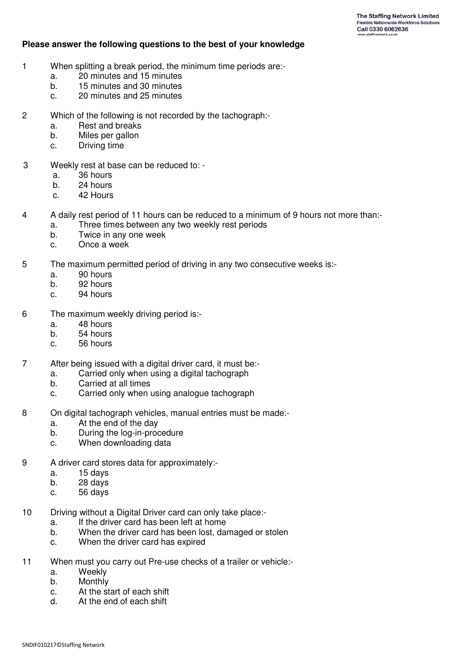### **Please answer the following questions to the best of your knowledge**

- 1 When splitting a break period, the minimum time periods are:
	- a. 20 minutes and 15 minutes
	- b. 15 minutes and 30 minutes
	- c. 20 minutes and 25 minutes
- 2 Which of the following is not recorded by the tachograph:
	- a. Rest and breaks
	- b. Miles per gallon
	- c. Driving time
- 3 Weekly rest at base can be reduced to:
	- a. 36 hours
	- b. 24 hours
	- c. 42 Hours
- 4 A daily rest period of 11 hours can be reduced to a minimum of 9 hours not more than:
	- a. Three times between any two weekly rest periods
	- b. Twice in any one week
	- c. Once a week
- 5 The maximum permitted period of driving in any two consecutive weeks is:
	- a. 90 hours
	- b. 92 hours
	- c. 94 hours
- 6 The maximum weekly driving period is:
	- a. 48 hours
	- b. 54 hours
	- c. 56 hours
- 7 After being issued with a digital driver card, it must be:
	- a. Carried only when using a digital tachograph<br>b Carried at all times
	- b. Carried at all times
	- c. Carried only when using analogue tachograph
- 8 On digital tachograph vehicles, manual entries must be made:
	- a. At the end of the day
	- b. During the log-in-procedure
	- c. When downloading data
- 9 A driver card stores data for approximately:
	- a. 15 days
	- b. 28 days
	- c. 56 days
- 10 Driving without a Digital Driver card can only take place:
	- a. If the driver card has been left at home
	- b. When the driver card has been lost, damaged or stolen
	- c. When the driver card has expired
- 11 When must you carry out Pre-use checks of a trailer or vehicle:
	- a. Weekly
	- b. Monthly
	- c. At the start of each shift
	- d. At the end of each shift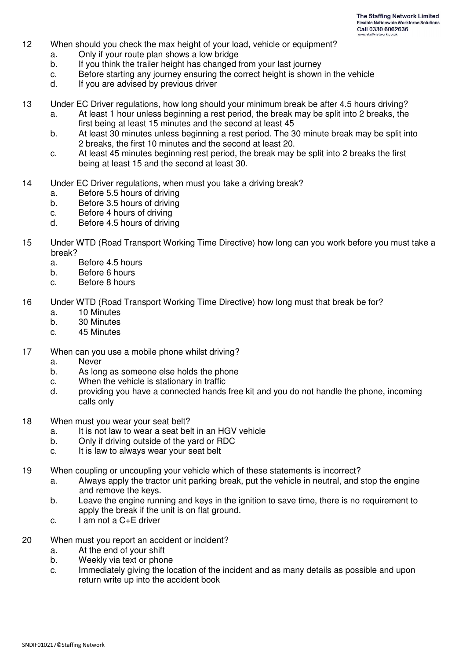- 12 When should you check the max height of your load, vehicle or equipment?
	- a. Only if your route plan shows a low bridge
	- b. If you think the trailer height has changed from your last journey
	- c. Before starting any journey ensuring the correct height is shown in the vehicle
	- d. If you are advised by previous driver
- 13 Under EC Driver regulations, how long should your minimum break be after 4.5 hours driving?
	- a. At least 1 hour unless beginning a rest period, the break may be split into 2 breaks, the first being at least 15 minutes and the second at least 45
	- b. At least 30 minutes unless beginning a rest period. The 30 minute break may be split into 2 breaks, the first 10 minutes and the second at least 20.
	- c. At least 45 minutes beginning rest period, the break may be split into 2 breaks the first being at least 15 and the second at least 30.
- 14 Under EC Driver regulations, when must you take a driving break?
	- a. Before 5.5 hours of driving
	- b. Before 3.5 hours of driving
	- c. Before 4 hours of driving
	- d. Before 4.5 hours of driving
- 15 Under WTD (Road Transport Working Time Directive) how long can you work before you must take a break?
	- a. Before 4.5 hours
	- b. Before 6 hours
	- c. Before 8 hours
- 16 Under WTD (Road Transport Working Time Directive) how long must that break be for?
	- a. 10 Minutes
	- b. 30 Minutes
	- c. 45 Minutes
- 17 When can you use a mobile phone whilst driving?
	- a. Never
	- b. As long as someone else holds the phone
	- c. When the vehicle is stationary in traffic
	- d. providing you have a connected hands free kit and you do not handle the phone, incoming calls only
- 18 When must you wear your seat belt?
	- a. It is not law to wear a seat belt in an HGV vehicle
	- b. Only if driving outside of the yard or RDC
	- c. It is law to always wear your seat belt
- 19 When coupling or uncoupling your vehicle which of these statements is incorrect?
	- a. Always apply the tractor unit parking break, put the vehicle in neutral, and stop the engine and remove the keys.
	- b. Leave the engine running and keys in the ignition to save time, there is no requirement to apply the break if the unit is on flat ground.
	- c. I am not a C+E driver
- 20 When must you report an accident or incident?
	- a. At the end of your shift
	- b. Weekly via text or phone
	- c. Immediately giving the location of the incident and as many details as possible and upon return write up into the accident book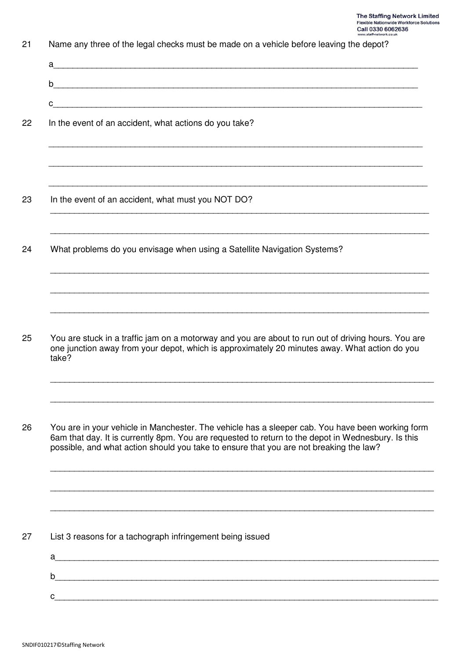| Name any three of the legal checks must be made on a vehicle before leaving the depot?                                                                                                                                                                                                           |
|--------------------------------------------------------------------------------------------------------------------------------------------------------------------------------------------------------------------------------------------------------------------------------------------------|
| a                                                                                                                                                                                                                                                                                                |
| $\mathsf b$                                                                                                                                                                                                                                                                                      |
| C                                                                                                                                                                                                                                                                                                |
| In the event of an accident, what actions do you take?                                                                                                                                                                                                                                           |
|                                                                                                                                                                                                                                                                                                  |
| In the event of an accident, what must you NOT DO?                                                                                                                                                                                                                                               |
| What problems do you envisage when using a Satellite Navigation Systems?                                                                                                                                                                                                                         |
| You are stuck in a traffic jam on a motorway and you are about to run out of driving hours. You are<br>one junction away from your depot, which is approximately 20 minutes away. What action do you<br>take?                                                                                    |
| You are in your vehicle in Manchester. The vehicle has a sleeper cab. You have been working form<br>6am that day. It is currently 8pm. You are requested to return to the depot in Wednesbury. Is this<br>possible, and what action should you take to ensure that you are not breaking the law? |
| List 3 reasons for a tachograph infringement being issued<br>a                                                                                                                                                                                                                                   |
| b                                                                                                                                                                                                                                                                                                |
|                                                                                                                                                                                                                                                                                                  |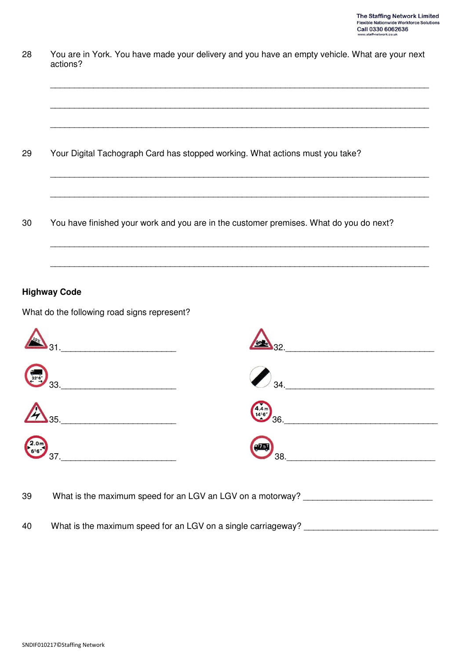| 28 | You are in York. You have made your delivery and you have an empty vehicle. What are your next<br>actions? |  |  |  |  |  |  |
|----|------------------------------------------------------------------------------------------------------------|--|--|--|--|--|--|
|    |                                                                                                            |  |  |  |  |  |  |
|    |                                                                                                            |  |  |  |  |  |  |
| 29 | Your Digital Tachograph Card has stopped working. What actions must you take?                              |  |  |  |  |  |  |
|    |                                                                                                            |  |  |  |  |  |  |
| 30 | You have finished your work and you are in the customer premises. What do you do next?                     |  |  |  |  |  |  |
|    |                                                                                                            |  |  |  |  |  |  |
|    | <b>Highway Code</b>                                                                                        |  |  |  |  |  |  |
|    | What do the following road signs represent?                                                                |  |  |  |  |  |  |

| 31.               | <b>ONE 32.</b>                                          |
|-------------------|---------------------------------------------------------|
| $\frac{1}{32.67}$ | $\sqrt{34}$ .                                           |
| $\mathbb{A}_{35}$ | $\frac{4.4 \text{ m}}{14.6^{\circ}}$ 36.                |
| $2.0m$ 37.        | $\begin{pmatrix} 1 & 0 \\ 0 & 0 \\ 0 & 0 \end{pmatrix}$ |

39 What is the maximum speed for an LGV an LGV on a motorway? \_\_\_\_\_\_\_\_\_\_\_\_\_\_\_\_\_\_\_

40 What is the maximum speed for an LGV on a single carriageway? \_\_\_\_\_\_\_\_\_\_\_\_\_\_\_\_\_\_\_\_\_\_\_\_\_\_\_\_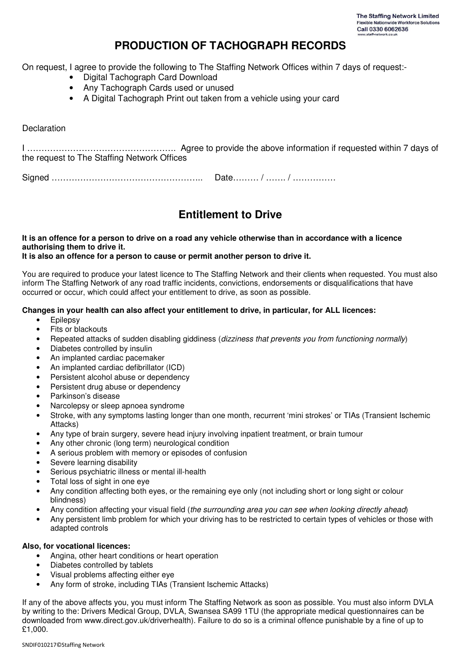# **PRODUCTION OF TACHOGRAPH RECORDS**

On request, I agree to provide the following to The Staffing Network Offices within 7 days of request:-

- Digital Tachograph Card Download
- Any Tachograph Cards used or unused
- A Digital Tachograph Print out taken from a vehicle using your card

### **Declaration**

I ……………………………………………. Agree to provide the above information if requested within 7 days of the request to The Staffing Network Offices

Signed …………………………………………….. Date……… / ……. / ……………

# **Entitlement to Drive**

**It is an offence for a person to drive on a road any vehicle otherwise than in accordance with a licence authorising them to drive it.** 

#### **It is also an offence for a person to cause or permit another person to drive it.**

You are required to produce your latest licence to The Staffing Network and their clients when requested. You must also inform The Staffing Network of any road traffic incidents, convictions, endorsements or disqualifications that have occurred or occur, which could affect your entitlement to drive, as soon as possible.

#### **Changes in your health can also affect your entitlement to drive, in particular, for ALL licences:**

- Epilepsy
- Fits or blackouts
- Repeated attacks of sudden disabling giddiness (dizziness that prevents you from functioning normally)
- Diabetes controlled by insulin
- An implanted cardiac pacemaker
- An implanted cardiac defibrillator (ICD)
- Persistent alcohol abuse or dependency
- Persistent drug abuse or dependency
- Parkinson's disease
- Narcolepsy or sleep apnoea syndrome
- Stroke, with any symptoms lasting longer than one month, recurrent 'mini strokes' or TIAs (Transient Ischemic Attacks)
- Any type of brain surgery, severe head injury involving inpatient treatment, or brain tumour
- Any other chronic (long term) neurological condition
- A serious problem with memory or episodes of confusion
- Severe learning disability
- Serious psychiatric illness or mental ill-health
- Total loss of sight in one eye
- Any condition affecting both eyes, or the remaining eye only (not including short or long sight or colour blindness)
- Any condition affecting your visual field (the surrounding area you can see when looking directly ahead)
- Any persistent limb problem for which your driving has to be restricted to certain types of vehicles or those with adapted controls

#### **Also, for vocational licences:**

- Angina, other heart conditions or heart operation
- Diabetes controlled by tablets
- Visual problems affecting either eye
- Any form of stroke, including TIAs (Transient Ischemic Attacks)

If any of the above affects you, you must inform The Staffing Network as soon as possible. You must also inform DVLA by writing to the: Drivers Medical Group, DVLA, Swansea SA99 1TU (the appropriate medical questionnaires can be downloaded from www.direct.gov.uk/driverhealth). Failure to do so is a criminal offence punishable by a fine of up to £1,000.